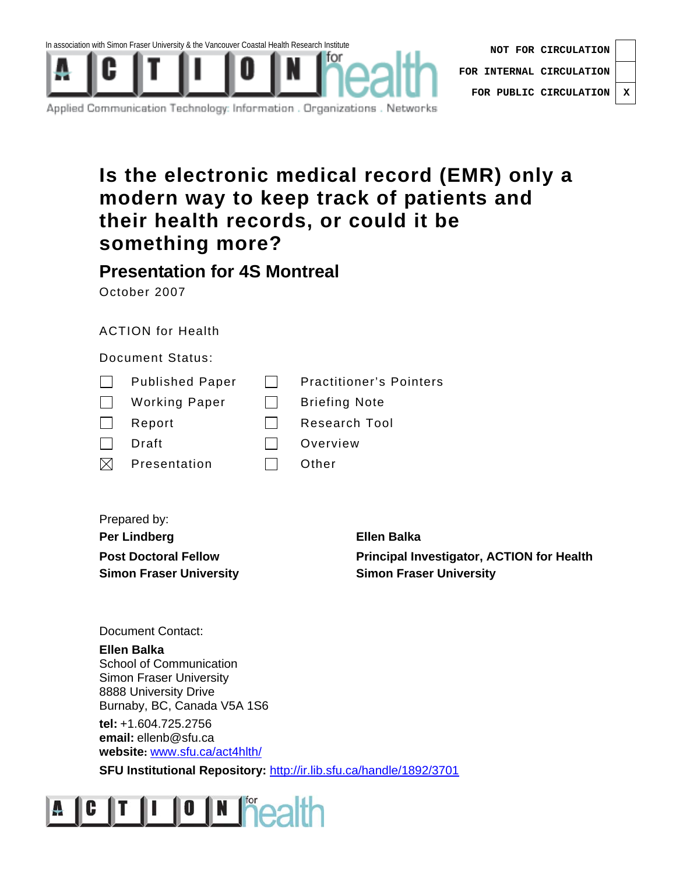

Applied Communication Technology: Information . Organizations . Networks

### **Is the electronic medical record (EMR) only a modern way to keep track of patients and their health records, or could it be something more?**

### **Presentation for 4S Montreal**

October 2007

### ACTION for Health

### Document Status:

| $\Box$ Published Paper | <b>Practitioner's Pointers</b> |
|------------------------|--------------------------------|
|                        |                                |

| <b>Working Paper</b> |  | <b>Briefing Note</b> |  |
|----------------------|--|----------------------|--|
|                      |  |                      |  |

| Report | Research Tool |
|--------|---------------|
|--------|---------------|

- □ Draft Overview
- $\boxtimes$  Presentation  $\Box$  Other
- 
- Prepared by: **Per Lindberg Ellen Balka**

**Post Doctoral Fellow Principal Investigator, ACTION for Health Simon Fraser University**  The Simon Fraser University

Document Contact:

**Ellen Balka**  School of Communication Simon Fraser University 8888 University Drive Burnaby, BC, Canada V5A 1S6

**tel:** +1.604.725.2756 **email:** ellenb@sfu.ca **website:** www.sfu.ca/act4hlth/

**SFU Institutional Repository:** http://ir.lib.sfu.ca/handle/1892/3701

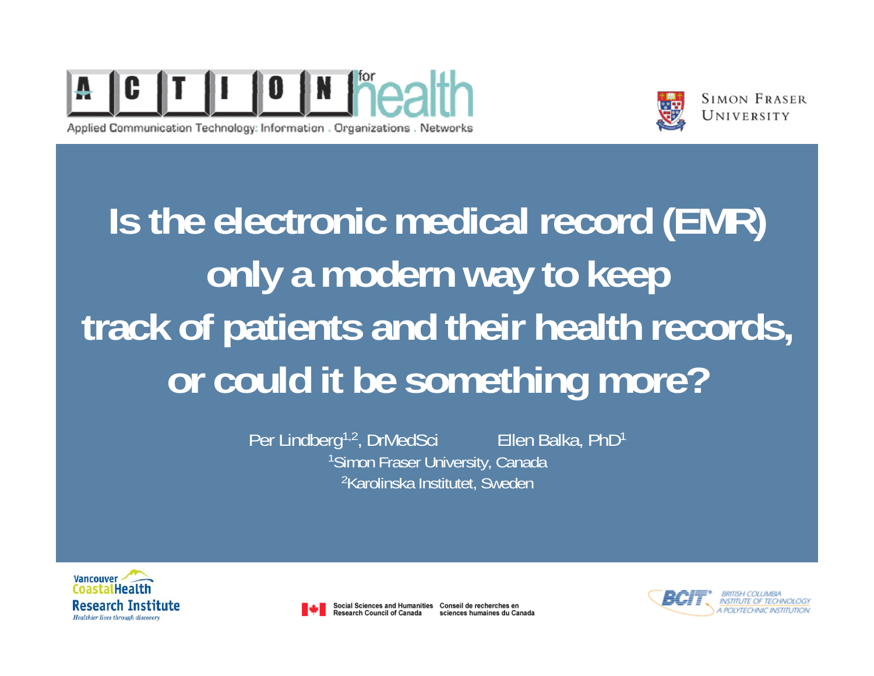

Applied Communication Technology: Information . Organizations . Networks



**SIMON FRASER** UNIVERSITY

**Is the electronic medical record (EMR) only a modern way to keep track of patients and their health records, or could it be something more?** 

> Per Lindberg<sup>1,2</sup>, DrMedSci Ellen Balka, PhD<sup>1</sup> 1Simon Fraser University, Canada 2Karolinska Institutet, Sweden





Social Sciences and Humanities Conseil de recherches en **esearch Council of Canada** sciences humaines du Canada

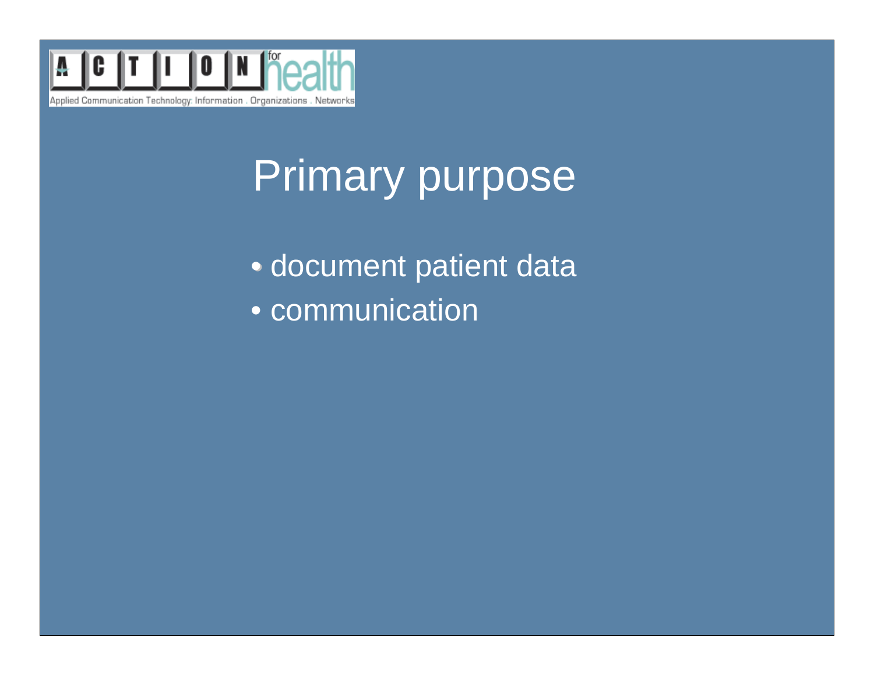

# **Suggested font & bullets Suggested font & bullets** Primary purpose

• document patient data • • communication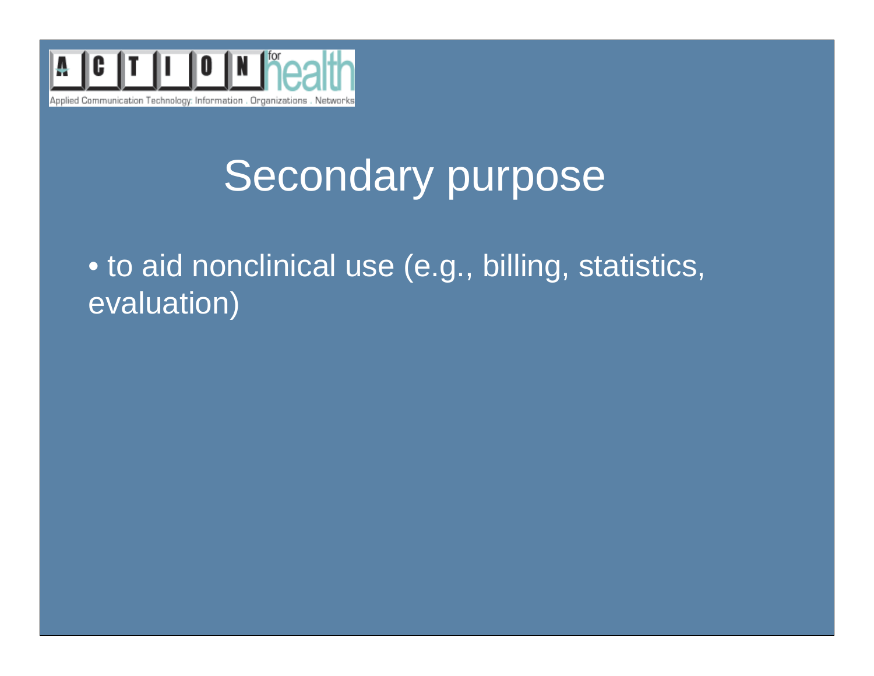

## **Suggested font & bullets Suggested font & bullets** Secondary purpose

 $\bullet$  to aid nonclinical use (e.g., billing, statistics,  $\overline{\phantom{a}}$ evaluation)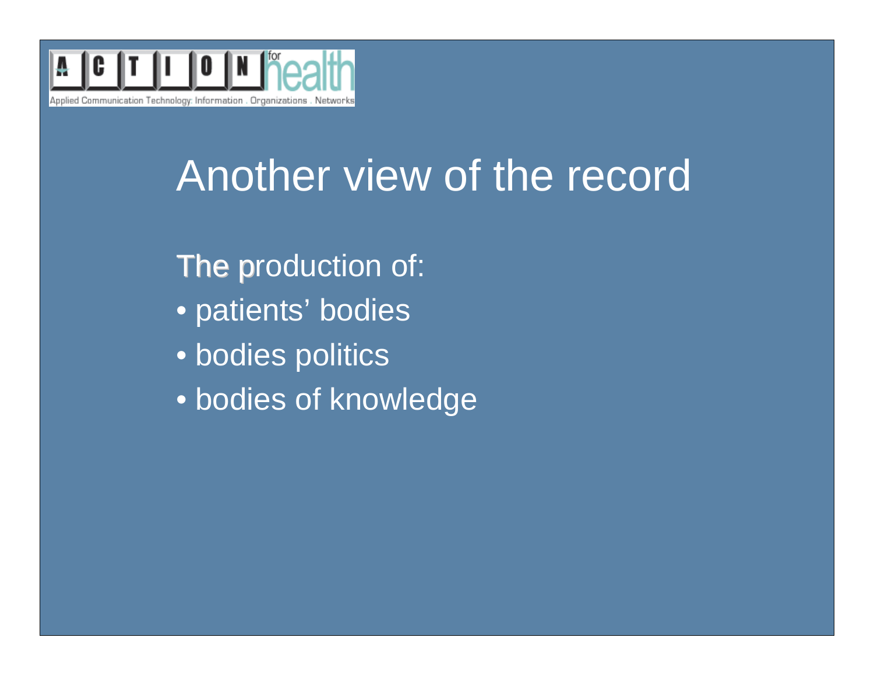

## **Suggested font & bullets Suggested font & bullets** Another view of the record

**The production of:** 

- patients' bodies
- bodies politics
- bodies of knowledge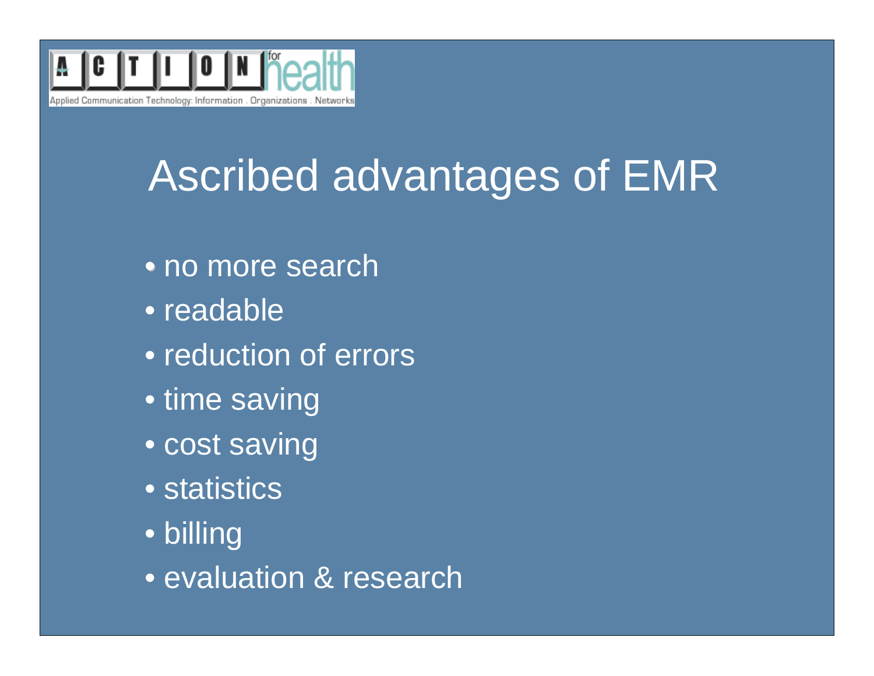

# **Suggested font & bullets Suggested font & bullets** Ascribed advantages of EMR

- no more search
	- readable
	- reduction of errors
	- time saving
	- cost saving
	- statistics
	- billing
	- evaluation & research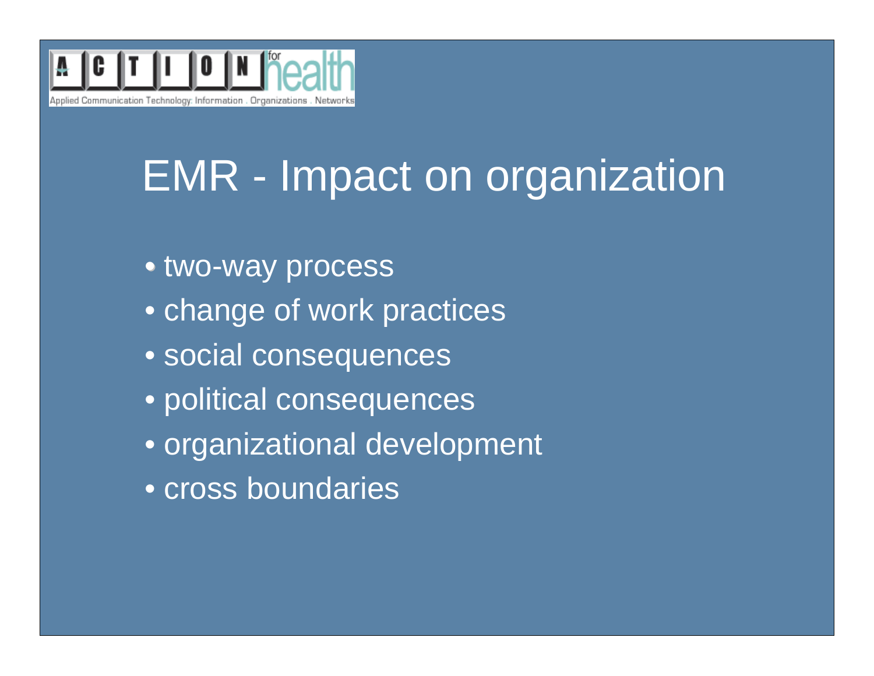# **Suggested font & bullets Suggested font & bullets** EMR - Impact on organization

- two-way process
	- change of work practices
	- social consequences
	- political consequences
	- organizational development
	- cross boundaries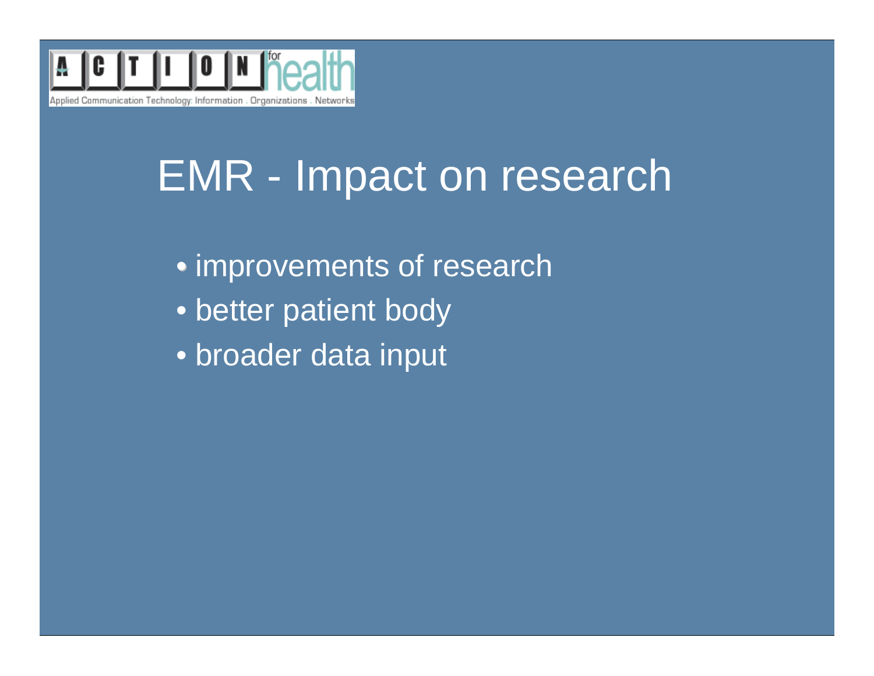

## **Suggested font & bullets Suggested font & bullets** EMR - Impact on research

- improvements of research
	- better patient body
	- broader data input